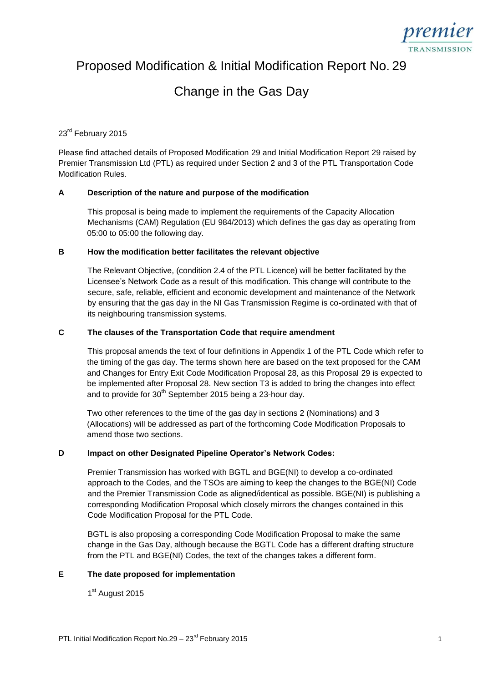

Proposed Modification & Initial Modification Report No. 29

# Change in the Gas Day

# 23<sup>rd</sup> February 2015

Please find attached details of Proposed Modification 29 and Initial Modification Report 29 raised by Premier Transmission Ltd (PTL) as required under Section 2 and 3 of the PTL Transportation Code Modification Rules.

## **A Description of the nature and purpose of the modification**

This proposal is being made to implement the requirements of the Capacity Allocation Mechanisms (CAM) Regulation (EU 984/2013) which defines the gas day as operating from 05:00 to 05:00 the following day.

#### **B How the modification better facilitates the relevant objective**

The Relevant Objective, (condition 2.4 of the PTL Licence) will be better facilitated by the Licensee's Network Code as a result of this modification. This change will contribute to the secure, safe, reliable, efficient and economic development and maintenance of the Network by ensuring that the gas day in the NI Gas Transmission Regime is co-ordinated with that of its neighbouring transmission systems.

## **C The clauses of the Transportation Code that require amendment**

This proposal amends the text of four definitions in Appendix 1 of the PTL Code which refer to the timing of the gas day. The terms shown here are based on the text proposed for the CAM and Changes for Entry Exit Code Modification Proposal 28, as this Proposal 29 is expected to be implemented after Proposal 28. New section T3 is added to bring the changes into effect and to provide for  $30<sup>th</sup>$  September 2015 being a 23-hour day.

Two other references to the time of the gas day in sections 2 (Nominations) and 3 (Allocations) will be addressed as part of the forthcoming Code Modification Proposals to amend those two sections.

#### **D Impact on other Designated Pipeline Operator's Network Codes:**

Premier Transmission has worked with BGTL and BGE(NI) to develop a co-ordinated approach to the Codes, and the TSOs are aiming to keep the changes to the BGE(NI) Code and the Premier Transmission Code as aligned/identical as possible. BGE(NI) is publishing a corresponding Modification Proposal which closely mirrors the changes contained in this Code Modification Proposal for the PTL Code.

BGTL is also proposing a corresponding Code Modification Proposal to make the same change in the Gas Day, although because the BGTL Code has a different drafting structure from the PTL and BGE(NI) Codes, the text of the changes takes a different form.

#### **E The date proposed for implementation**

1<sup>st</sup> August 2015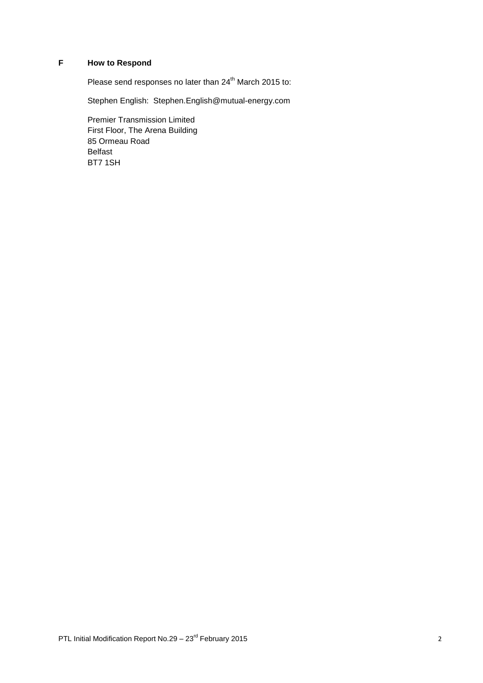# **F How to Respond**

Please send responses no later than 24<sup>th</sup> March 2015 to:

Stephen English: Stephen.English@mutual-energy.com

Premier Transmission Limited First Floor, The Arena Building 85 Ormeau Road Belfast BT7 1SH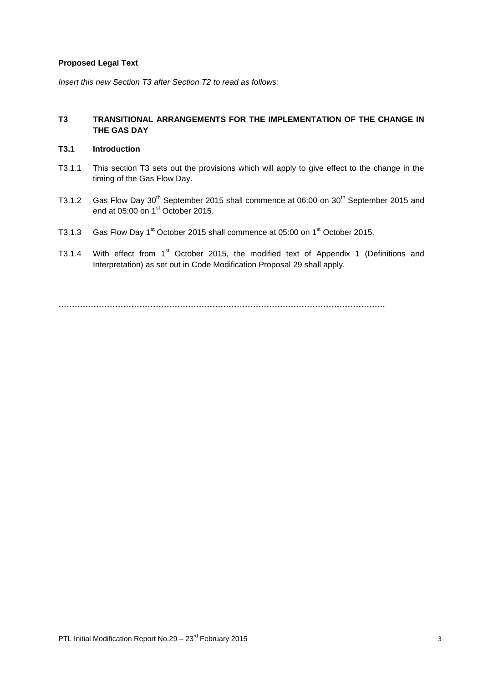# **Proposed Legal Text**

*Insert this new Section T3 after Section T2 to read as follows:*

# **T3 TRANSITIONAL ARRANGEMENTS FOR THE IMPLEMENTATION OF THE CHANGE IN THE GAS DAY**

# **T3.1 Introduction**

- T3.1.1 This section T3 sets out the provisions which will apply to give effect to the change in the timing of the Gas Flow Day.
- T3.1.2 Gas Flow Day 30<sup>th</sup> September 2015 shall commence at 06:00 on 30<sup>th</sup> September 2015 and end at 05:00 on 1<sup>st</sup> October 2015.
- T3.1.3 Gas Flow Day 1<sup>st</sup> October 2015 shall commence at 05:00 on 1<sup>st</sup> October 2015.
- T3.1.4 With effect from 1<sup>st</sup> October 2015, the modified text of Appendix 1 (Definitions and Interpretation) as set out in Code Modification Proposal 29 shall apply.

**………………………………………………………………………………………………………….**